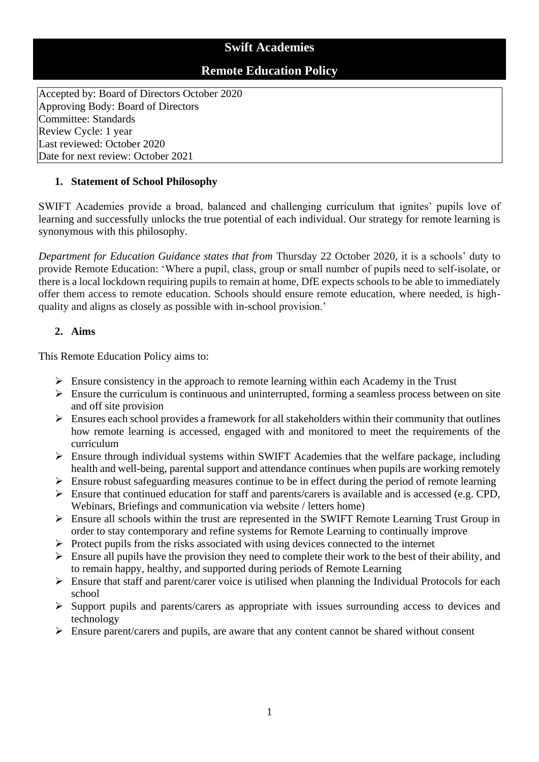## **Swift Academies**

## **Remote Education Policy**

Accepted by: Board of Directors October 2020 Approving Body: Board of Directors Committee: Standards Review Cycle: 1 year Last reviewed: October 2020 Date for next review: October 2021

#### **1. Statement of School Philosophy**

SWIFT Academies provide a broad, balanced and challenging curriculum that ignites' pupils love of learning and successfully unlocks the true potential of each individual. Our strategy for remote learning is synonymous with this philosophy.

*Department for Education Guidance states that from* Thursday 22 October 2020, it is a schools' duty to provide Remote Education: 'Where a pupil, class, group or small number of pupils need to self-isolate, or there is a local lockdown requiring pupils to remain at home, DfE expects schools to be able to immediately offer them access to remote education. Schools should ensure remote education, where needed, is highquality and aligns as closely as possible with in-school provision.'

#### **2. Aims**

This Remote Education Policy aims to:

- $\triangleright$  Ensure consistency in the approach to remote learning within each Academy in the Trust
- $\triangleright$  Ensure the curriculum is continuous and uninterrupted, forming a seamless process between on site and off site provision
- $\triangleright$  Ensures each school provides a framework for all stakeholders within their community that outlines how remote learning is accessed, engaged with and monitored to meet the requirements of the curriculum
- $\triangleright$  Ensure through individual systems within SWIFT Academies that the welfare package, including health and well-being, parental support and attendance continues when pupils are working remotely
- $\triangleright$  Ensure robust safeguarding measures continue to be in effect during the period of remote learning
- ➢ Ensure that continued education for staff and parents/carers is available and is accessed (e.g. CPD, Webinars, Briefings and communication via website / letters home)
- ➢ Ensure all schools within the trust are represented in the SWIFT Remote Learning Trust Group in order to stay contemporary and refine systems for Remote Learning to continually improve
- $\triangleright$  Protect pupils from the risks associated with using devices connected to the internet
- $\triangleright$  Ensure all pupils have the provision they need to complete their work to the best of their ability, and to remain happy, healthy, and supported during periods of Remote Learning
- ➢ Ensure that staff and parent/carer voice is utilised when planning the Individual Protocols for each school
- ➢ Support pupils and parents/carers as appropriate with issues surrounding access to devices and technology
- $\triangleright$  Ensure parent/carers and pupils, are aware that any content cannot be shared without consent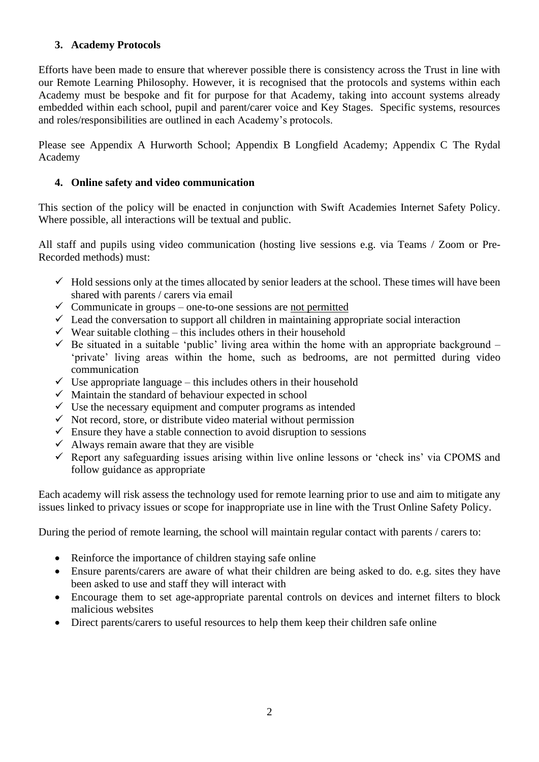#### **3. Academy Protocols**

Efforts have been made to ensure that wherever possible there is consistency across the Trust in line with our Remote Learning Philosophy. However, it is recognised that the protocols and systems within each Academy must be bespoke and fit for purpose for that Academy, taking into account systems already embedded within each school, pupil and parent/carer voice and Key Stages. Specific systems, resources and roles/responsibilities are outlined in each Academy's protocols.

Please see Appendix A Hurworth School; Appendix B Longfield Academy; Appendix C The Rydal Academy

#### **4. Online safety and video communication**

This section of the policy will be enacted in conjunction with Swift Academies Internet Safety Policy. Where possible, all interactions will be textual and public.

All staff and pupils using video communication (hosting live sessions e.g. via Teams / Zoom or Pre-Recorded methods) must:

- $\checkmark$  Hold sessions only at the times allocated by senior leaders at the school. These times will have been shared with parents / carers via email
- $\checkmark$  Communicate in groups one-to-one sessions are not permitted
- $\checkmark$  Lead the conversation to support all children in maintaining appropriate social interaction
- $\checkmark$  Wear suitable clothing this includes others in their household
- $\checkmark$  Be situated in a suitable 'public' living area within the home with an appropriate background 'private' living areas within the home, such as bedrooms, are not permitted during video communication
- $\checkmark$  Use appropriate language this includes others in their household
- $\checkmark$  Maintain the standard of behaviour expected in school
- $\checkmark$  Use the necessary equipment and computer programs as intended
- $\checkmark$  Not record, store, or distribute video material without permission
- $\checkmark$  Ensure they have a stable connection to avoid disruption to sessions
- $\checkmark$  Always remain aware that they are visible
- ✓ Report any safeguarding issues arising within live online lessons or 'check ins' via CPOMS and follow guidance as appropriate

Each academy will risk assess the technology used for remote learning prior to use and aim to mitigate any issues linked to privacy issues or scope for inappropriate use in line with the Trust Online Safety Policy.

During the period of remote learning, the school will maintain regular contact with parents / carers to:

- Reinforce the importance of children staying safe online
- Ensure parents/carers are aware of what their children are being asked to do. e.g. sites they have been asked to use and staff they will interact with
- Encourage them to set age-appropriate parental controls on devices and internet filters to block malicious websites
- Direct parents/carers to useful resources to help them keep their children safe online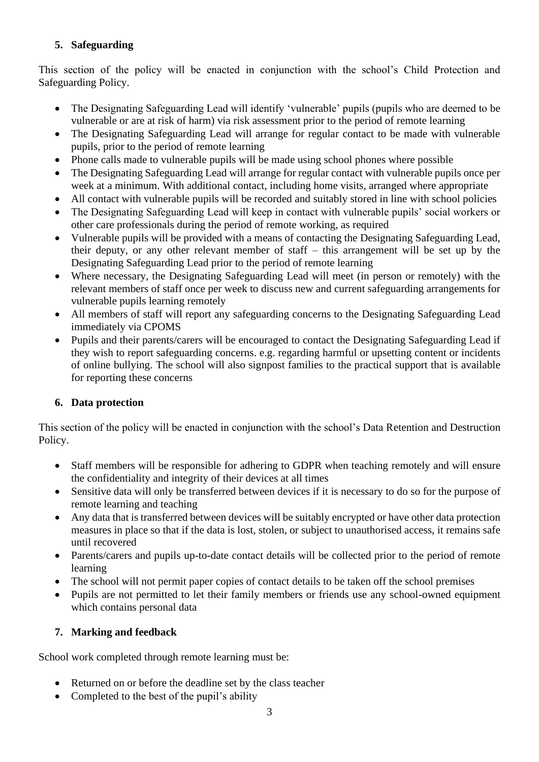## **5. Safeguarding**

This section of the policy will be enacted in conjunction with the school's Child Protection and Safeguarding Policy.

- The Designating Safeguarding Lead will identify 'vulnerable' pupils (pupils who are deemed to be vulnerable or are at risk of harm) via risk assessment prior to the period of remote learning
- The Designating Safeguarding Lead will arrange for regular contact to be made with vulnerable pupils, prior to the period of remote learning
- Phone calls made to vulnerable pupils will be made using school phones where possible
- The Designating Safeguarding Lead will arrange for regular contact with vulnerable pupils once per week at a minimum. With additional contact, including home visits, arranged where appropriate
- All contact with vulnerable pupils will be recorded and suitably stored in line with school policies
- The Designating Safeguarding Lead will keep in contact with vulnerable pupils' social workers or other care professionals during the period of remote working, as required
- Vulnerable pupils will be provided with a means of contacting the Designating Safeguarding Lead, their deputy, or any other relevant member of staff – this arrangement will be set up by the Designating Safeguarding Lead prior to the period of remote learning
- Where necessary, the Designating Safeguarding Lead will meet (in person or remotely) with the relevant members of staff once per week to discuss new and current safeguarding arrangements for vulnerable pupils learning remotely
- All members of staff will report any safeguarding concerns to the Designating Safeguarding Lead immediately via CPOMS
- Pupils and their parents/carers will be encouraged to contact the Designating Safeguarding Lead if they wish to report safeguarding concerns. e.g. regarding harmful or upsetting content or incidents of online bullying. The school will also signpost families to the practical support that is available for reporting these concerns

## **6. Data protection**

This section of the policy will be enacted in conjunction with the school's Data Retention and Destruction Policy.

- Staff members will be responsible for adhering to GDPR when teaching remotely and will ensure the confidentiality and integrity of their devices at all times
- Sensitive data will only be transferred between devices if it is necessary to do so for the purpose of remote learning and teaching
- Any data that is transferred between devices will be suitably encrypted or have other data protection measures in place so that if the data is lost, stolen, or subject to unauthorised access, it remains safe until recovered
- Parents/carers and pupils up-to-date contact details will be collected prior to the period of remote learning
- The school will not permit paper copies of contact details to be taken off the school premises
- Pupils are not permitted to let their family members or friends use any school-owned equipment which contains personal data

### **7. Marking and feedback**

School work completed through remote learning must be:

- Returned on or before the deadline set by the class teacher
- Completed to the best of the pupil's ability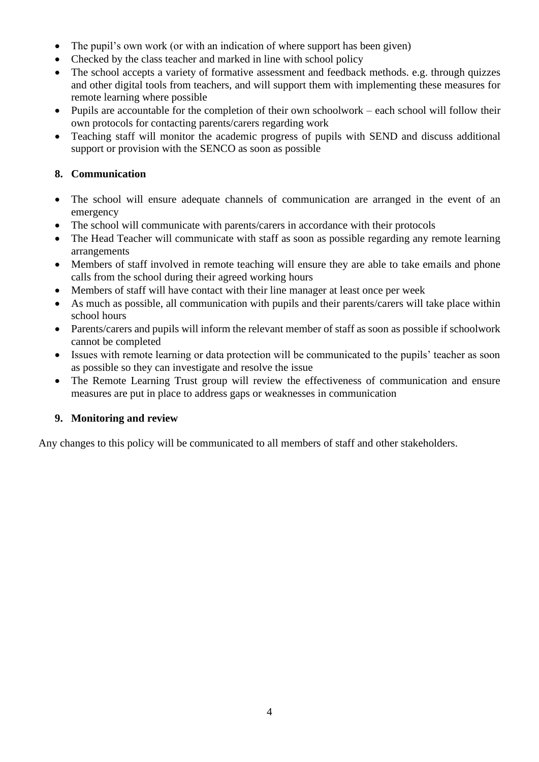- The pupil's own work (or with an indication of where support has been given)
- Checked by the class teacher and marked in line with school policy
- The school accepts a variety of formative assessment and feedback methods. e.g. through quizzes and other digital tools from teachers, and will support them with implementing these measures for remote learning where possible
- Pupils are accountable for the completion of their own schoolwork each school will follow their own protocols for contacting parents/carers regarding work
- Teaching staff will monitor the academic progress of pupils with SEND and discuss additional support or provision with the SENCO as soon as possible

#### **8. Communication**

- The school will ensure adequate channels of communication are arranged in the event of an emergency
- The school will communicate with parents/carers in accordance with their protocols
- The Head Teacher will communicate with staff as soon as possible regarding any remote learning arrangements
- Members of staff involved in remote teaching will ensure they are able to take emails and phone calls from the school during their agreed working hours
- Members of staff will have contact with their line manager at least once per week
- As much as possible, all communication with pupils and their parents/carers will take place within school hours
- Parents/carers and pupils will inform the relevant member of staff as soon as possible if schoolwork cannot be completed
- Issues with remote learning or data protection will be communicated to the pupils' teacher as soon as possible so they can investigate and resolve the issue
- The Remote Learning Trust group will review the effectiveness of communication and ensure measures are put in place to address gaps or weaknesses in communication

#### **9. Monitoring and review**

Any changes to this policy will be communicated to all members of staff and other stakeholders.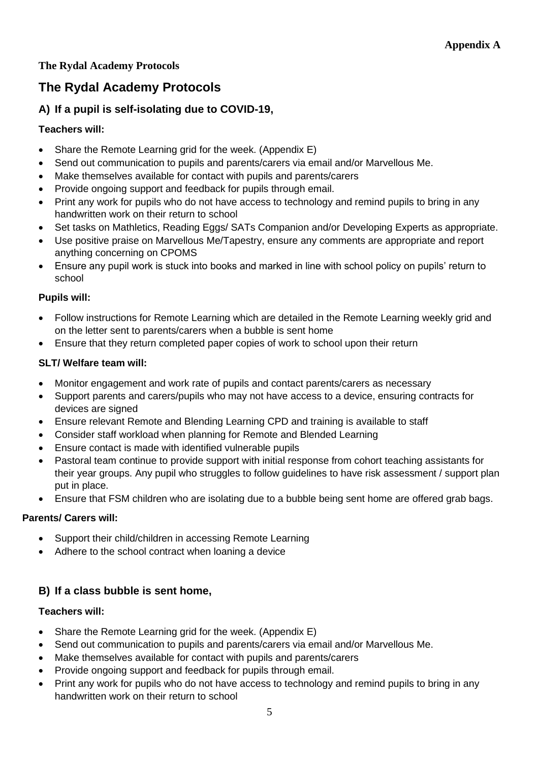## **The Rydal Academy Protocols**

# **The Rydal Academy Protocols**

## **A) If a pupil is self-isolating due to COVID-19,**

#### **Teachers will:**

- Share the Remote Learning grid for the week. (Appendix E)
- Send out communication to pupils and parents/carers via email and/or Marvellous Me.
- Make themselves available for contact with pupils and parents/carers
- Provide ongoing support and feedback for pupils through email.
- Print any work for pupils who do not have access to technology and remind pupils to bring in any handwritten work on their return to school
- Set tasks on Mathletics, Reading Eggs/ SATs Companion and/or Developing Experts as appropriate.
- Use positive praise on Marvellous Me/Tapestry, ensure any comments are appropriate and report anything concerning on CPOMS
- Ensure any pupil work is stuck into books and marked in line with school policy on pupils' return to school

#### **Pupils will:**

- Follow instructions for Remote Learning which are detailed in the Remote Learning weekly grid and on the letter sent to parents/carers when a bubble is sent home
- Ensure that they return completed paper copies of work to school upon their return

#### **SLT/ Welfare team will:**

- Monitor engagement and work rate of pupils and contact parents/carers as necessary
- Support parents and carers/pupils who may not have access to a device, ensuring contracts for devices are signed
- Ensure relevant Remote and Blending Learning CPD and training is available to staff
- Consider staff workload when planning for Remote and Blended Learning
- Ensure contact is made with identified vulnerable pupils
- Pastoral team continue to provide support with initial response from cohort teaching assistants for their year groups. Any pupil who struggles to follow guidelines to have risk assessment / support plan put in place.
- Ensure that FSM children who are isolating due to a bubble being sent home are offered grab bags.

### **Parents/ Carers will:**

- Support their child/children in accessing Remote Learning
- Adhere to the school contract when loaning a device

### **B) If a class bubble is sent home,**

#### **Teachers will:**

- Share the Remote Learning grid for the week. (Appendix E)
- Send out communication to pupils and parents/carers via email and/or Marvellous Me.
- Make themselves available for contact with pupils and parents/carers
- Provide ongoing support and feedback for pupils through email.
- Print any work for pupils who do not have access to technology and remind pupils to bring in any handwritten work on their return to school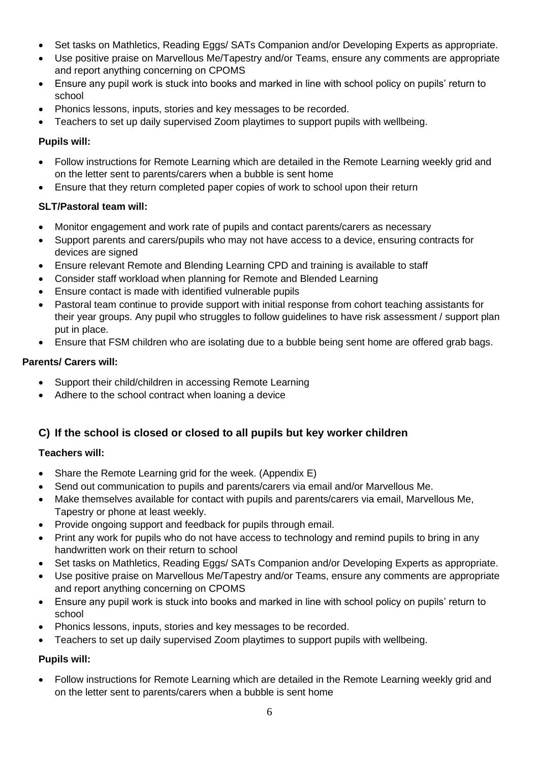- Set tasks on Mathletics, Reading Eggs/ SATs Companion and/or Developing Experts as appropriate.
- Use positive praise on Marvellous Me/Tapestry and/or Teams, ensure any comments are appropriate and report anything concerning on CPOMS
- Ensure any pupil work is stuck into books and marked in line with school policy on pupils' return to school
- Phonics lessons, inputs, stories and key messages to be recorded.
- Teachers to set up daily supervised Zoom playtimes to support pupils with wellbeing.

#### **Pupils will:**

- Follow instructions for Remote Learning which are detailed in the Remote Learning weekly grid and on the letter sent to parents/carers when a bubble is sent home
- Ensure that they return completed paper copies of work to school upon their return

#### **SLT/Pastoral team will:**

- Monitor engagement and work rate of pupils and contact parents/carers as necessary
- Support parents and carers/pupils who may not have access to a device, ensuring contracts for devices are signed
- Ensure relevant Remote and Blending Learning CPD and training is available to staff
- Consider staff workload when planning for Remote and Blended Learning
- Ensure contact is made with identified vulnerable pupils
- Pastoral team continue to provide support with initial response from cohort teaching assistants for their year groups. Any pupil who struggles to follow guidelines to have risk assessment / support plan put in place.
- Ensure that FSM children who are isolating due to a bubble being sent home are offered grab bags.

#### **Parents/ Carers will:**

- Support their child/children in accessing Remote Learning
- Adhere to the school contract when loaning a device

## **C) If the school is closed or closed to all pupils but key worker children**

#### **Teachers will:**

- Share the Remote Learning grid for the week. (Appendix E)
- Send out communication to pupils and parents/carers via email and/or Marvellous Me.
- Make themselves available for contact with pupils and parents/carers via email, Marvellous Me, Tapestry or phone at least weekly.
- Provide ongoing support and feedback for pupils through email.
- Print any work for pupils who do not have access to technology and remind pupils to bring in any handwritten work on their return to school
- Set tasks on Mathletics, Reading Eggs/ SATs Companion and/or Developing Experts as appropriate.
- Use positive praise on Marvellous Me/Tapestry and/or Teams, ensure any comments are appropriate and report anything concerning on CPOMS
- Ensure any pupil work is stuck into books and marked in line with school policy on pupils' return to school
- Phonics lessons, inputs, stories and key messages to be recorded.
- Teachers to set up daily supervised Zoom playtimes to support pupils with wellbeing.

#### **Pupils will:**

• Follow instructions for Remote Learning which are detailed in the Remote Learning weekly grid and on the letter sent to parents/carers when a bubble is sent home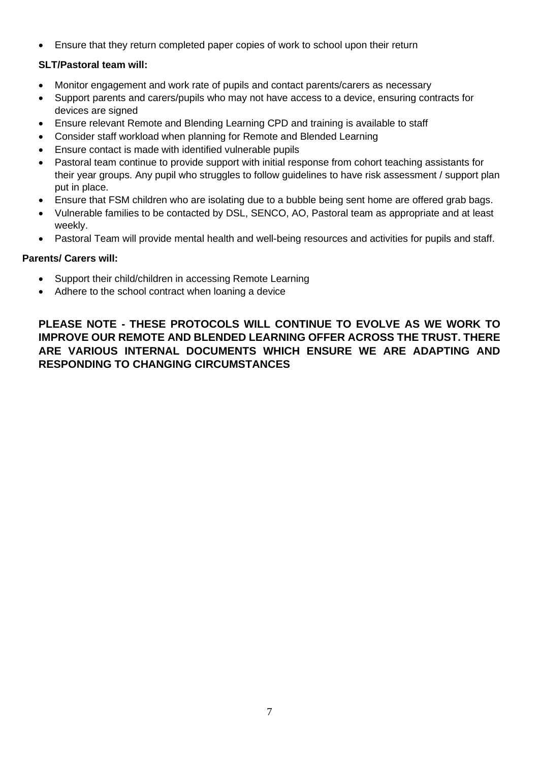• Ensure that they return completed paper copies of work to school upon their return

#### **SLT/Pastoral team will:**

- Monitor engagement and work rate of pupils and contact parents/carers as necessary
- Support parents and carers/pupils who may not have access to a device, ensuring contracts for devices are signed
- Ensure relevant Remote and Blending Learning CPD and training is available to staff
- Consider staff workload when planning for Remote and Blended Learning
- Ensure contact is made with identified vulnerable pupils
- Pastoral team continue to provide support with initial response from cohort teaching assistants for their year groups. Any pupil who struggles to follow guidelines to have risk assessment / support plan put in place.
- Ensure that FSM children who are isolating due to a bubble being sent home are offered grab bags.
- Vulnerable families to be contacted by DSL, SENCO, AO, Pastoral team as appropriate and at least weekly.
- Pastoral Team will provide mental health and well-being resources and activities for pupils and staff.

#### **Parents/ Carers will:**

- Support their child/children in accessing Remote Learning
- Adhere to the school contract when loaning a device

**PLEASE NOTE - THESE PROTOCOLS WILL CONTINUE TO EVOLVE AS WE WORK TO IMPROVE OUR REMOTE AND BLENDED LEARNING OFFER ACROSS THE TRUST. THERE ARE VARIOUS INTERNAL DOCUMENTS WHICH ENSURE WE ARE ADAPTING AND RESPONDING TO CHANGING CIRCUMSTANCES**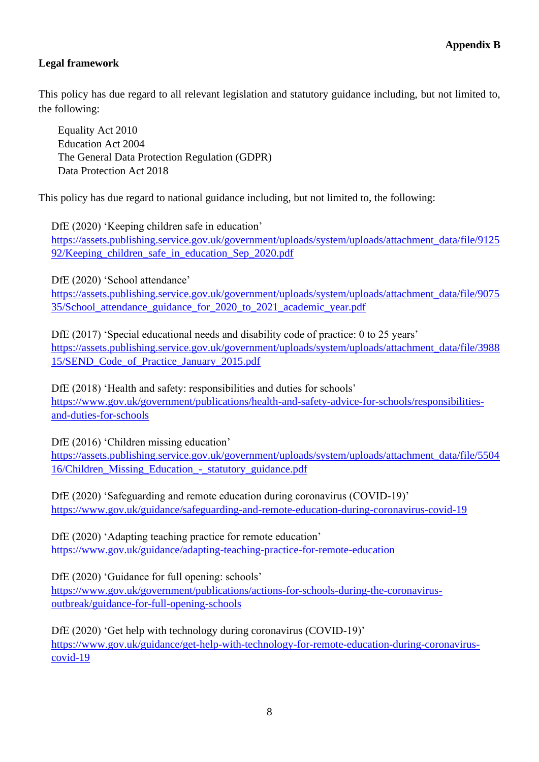## **Legal framework**

This policy has due regard to all relevant legislation and statutory guidance including, but not limited to, the following:

Equality Act 2010 Education Act 2004 The General Data Protection Regulation (GDPR) Data Protection Act 2018

This policy has due regard to national guidance including, but not limited to, the following:

DfE (2020) 'Keeping children safe in education' [https://assets.publishing.service.gov.uk/government/uploads/system/uploads/attachment\\_data/file/9125](https://assets.publishing.service.gov.uk/government/uploads/system/uploads/attachment_data/file/912592/Keeping_children_safe_in_education_Sep_2020.pdf) [92/Keeping\\_children\\_safe\\_in\\_education\\_Sep\\_2020.pdf](https://assets.publishing.service.gov.uk/government/uploads/system/uploads/attachment_data/file/912592/Keeping_children_safe_in_education_Sep_2020.pdf)

DfE (2020) 'School attendance'

[https://assets.publishing.service.gov.uk/government/uploads/system/uploads/attachment\\_data/file/9075](https://assets.publishing.service.gov.uk/government/uploads/system/uploads/attachment_data/file/907535/School_attendance_guidance_for_2020_to_2021_academic_year.pdf) [35/School\\_attendance\\_guidance\\_for\\_2020\\_to\\_2021\\_academic\\_year.pdf](https://assets.publishing.service.gov.uk/government/uploads/system/uploads/attachment_data/file/907535/School_attendance_guidance_for_2020_to_2021_academic_year.pdf)

DfE (2017) 'Special educational needs and disability code of practice: 0 to 25 years' [https://assets.publishing.service.gov.uk/government/uploads/system/uploads/attachment\\_data/file/3988](https://assets.publishing.service.gov.uk/government/uploads/system/uploads/attachment_data/file/398815/SEND_Code_of_Practice_January_2015.pdf) [15/SEND\\_Code\\_of\\_Practice\\_January\\_2015.pdf](https://assets.publishing.service.gov.uk/government/uploads/system/uploads/attachment_data/file/398815/SEND_Code_of_Practice_January_2015.pdf)

DfE (2018) 'Health and safety: responsibilities and duties for schools' [https://www.gov.uk/government/publications/health-and-safety-advice-for-schools/responsibilities](https://www.gov.uk/government/publications/health-and-safety-advice-for-schools/responsibilities-and-duties-for-schools)[and-duties-for-schools](https://www.gov.uk/government/publications/health-and-safety-advice-for-schools/responsibilities-and-duties-for-schools)

DfE (2016) 'Children missing education'

[https://assets.publishing.service.gov.uk/government/uploads/system/uploads/attachment\\_data/file/5504](https://assets.publishing.service.gov.uk/government/uploads/system/uploads/attachment_data/file/550416/Children_Missing_Education_-_statutory_guidance.pdf) [16/Children\\_Missing\\_Education\\_-\\_statutory\\_guidance.pdf](https://assets.publishing.service.gov.uk/government/uploads/system/uploads/attachment_data/file/550416/Children_Missing_Education_-_statutory_guidance.pdf)

DfE (2020) 'Safeguarding and remote education during coronavirus (COVID-19)' <https://www.gov.uk/guidance/safeguarding-and-remote-education-during-coronavirus-covid-19>

DfE (2020) 'Adapting teaching practice for remote education' <https://www.gov.uk/guidance/adapting-teaching-practice-for-remote-education>

DfE (2020) 'Guidance for full opening: schools'

[https://www.gov.uk/government/publications/actions-for-schools-during-the-coronavirus](https://www.gov.uk/government/publications/actions-for-schools-during-the-coronavirus-outbreak/guidance-for-full-opening-schools)[outbreak/guidance-for-full-opening-schools](https://www.gov.uk/government/publications/actions-for-schools-during-the-coronavirus-outbreak/guidance-for-full-opening-schools)

DfE (2020) 'Get help with technology during coronavirus (COVID-19)' [https://www.gov.uk/guidance/get-help-with-technology-for-remote-education-during-coronavirus](https://www.gov.uk/guidance/get-help-with-technology-for-remote-education-during-coronavirus-covid-19)[covid-19](https://www.gov.uk/guidance/get-help-with-technology-for-remote-education-during-coronavirus-covid-19)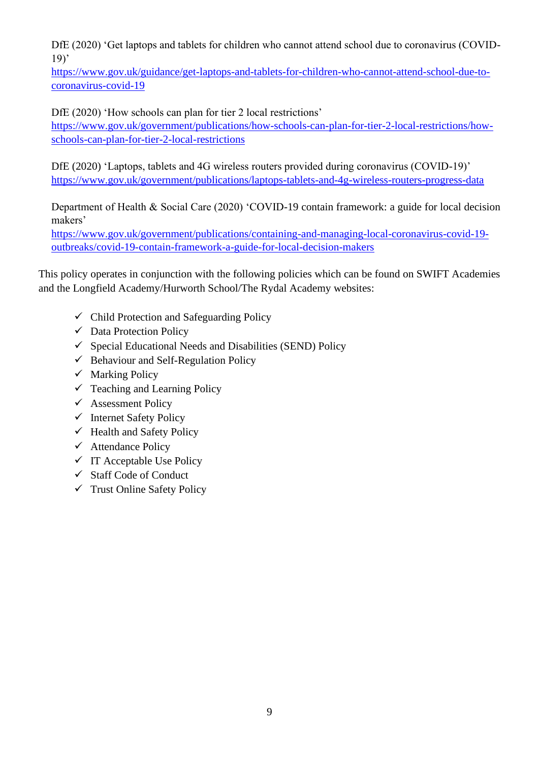DfE (2020) 'Get laptops and tablets for children who cannot attend school due to coronavirus (COVID-19)'

[https://www.gov.uk/guidance/get-laptops-and-tablets-for-children-who-cannot-attend-school-due-to](https://www.gov.uk/guidance/get-laptops-and-tablets-for-children-who-cannot-attend-school-due-to-coronavirus-covid-19)[coronavirus-covid-19](https://www.gov.uk/guidance/get-laptops-and-tablets-for-children-who-cannot-attend-school-due-to-coronavirus-covid-19)

DfE (2020) 'How schools can plan for tier 2 local restrictions'

[https://www.gov.uk/government/publications/how-schools-can-plan-for-tier-2-local-restrictions/how](https://www.gov.uk/government/publications/how-schools-can-plan-for-tier-2-local-restrictions/how-schools-can-plan-for-tier-2-local-restrictions)[schools-can-plan-for-tier-2-local-restrictions](https://www.gov.uk/government/publications/how-schools-can-plan-for-tier-2-local-restrictions/how-schools-can-plan-for-tier-2-local-restrictions)

DfE (2020) 'Laptops, tablets and 4G wireless routers provided during coronavirus (COVID-19)' <https://www.gov.uk/government/publications/laptops-tablets-and-4g-wireless-routers-progress-data>

Department of Health & Social Care (2020) 'COVID-19 contain framework: a guide for local decision makers'

[https://www.gov.uk/government/publications/containing-and-managing-local-coronavirus-covid-19](https://www.gov.uk/government/publications/containing-and-managing-local-coronavirus-covid-19-outbreaks/covid-19-contain-framework-a-guide-for-local-decision-makers) [outbreaks/covid-19-contain-framework-a-guide-for-local-decision-makers](https://www.gov.uk/government/publications/containing-and-managing-local-coronavirus-covid-19-outbreaks/covid-19-contain-framework-a-guide-for-local-decision-makers)

This policy operates in conjunction with the following policies which can be found on SWIFT Academies and the Longfield Academy/Hurworth School/The Rydal Academy websites:

- $\checkmark$  Child Protection and Safeguarding Policy
- $\checkmark$  Data Protection Policy
- $\checkmark$  Special Educational Needs and Disabilities (SEND) Policy
- $\checkmark$  Behaviour and Self-Regulation Policy
- $\checkmark$  Marking Policy
- $\checkmark$  Teaching and Learning Policy
- $\checkmark$  Assessment Policy
- ✓ Internet Safety Policy
- $\checkmark$  Health and Safety Policy
- $\checkmark$  Attendance Policy
- $\checkmark$  IT Acceptable Use Policy
- ✓ Staff Code of Conduct
- $\checkmark$  Trust Online Safety Policy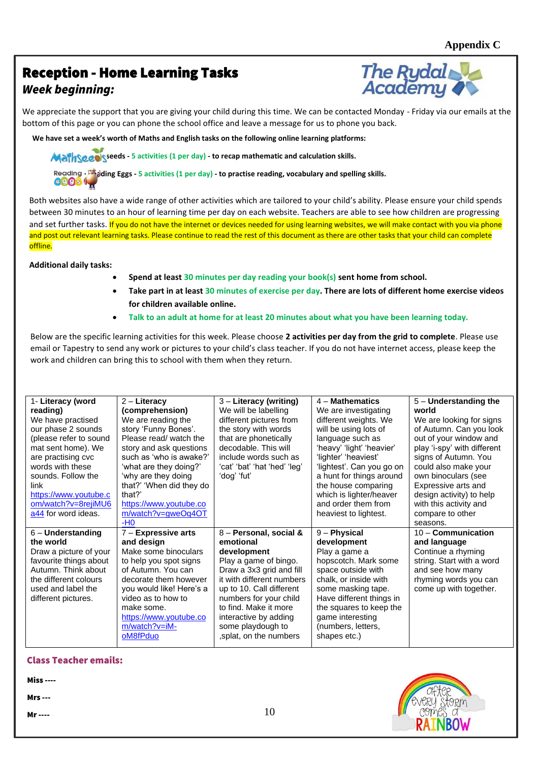# Reception - Home Learning Tasks *Week beginning:*



We appreciate the support that you are giving your child during this time. We can be contacted Monday - Friday via our emails at the bottom of this page or you can phone the school office and leave a message for us to phone you back.

**We have set a week's worth of Maths and English tasks on the following online learning platforms:**

· **Mathseeds - 5 activities (1 per day) - to recap mathematic and calculation skills.**

**Reading . Adding Eggs - 5 activities (1 per day) - to practise reading, vocabulary and spelling skills.**<br>**CCOS** 

and set further tasks. I<mark>f you do not have the internet or devices needed for using learning websites, we will make contact with you via phone</mark> · **Mathseeds - 5 activities (1 per day) - to recap mathematic and calculation skills.** Both websites also have a wide range of other activities which are tailored to your child's ability. Please ensure your child spends between 30 minutes to an hour of learning time per day on each website. Teachers are able to see how children are progressing and post out relevant learning tasks. Please continue to read the rest of this document as there are other tasks that your child can complete offline.

#### **· Reading Eggs - 5 activities (1 per day) - to practise reading, vocabulary and spelling skills. Additional daily tasks:**

- **Spend at least 30 minutes per day reading your book(s) sent home from school.**
- Take part in at least 30 minutes of exercise per day. There are lots of different home exercise videos for children available online. *for example see in the seeing what you get up to you get up to you get up to* **you get up to you get up to you get up to you get up to you get up to you get up to you get up to you get up to** 
	- **Talk to an adult at home for at least 20 minutes about what you have been learning today.**

Below are the specific learning activities for this week. Please choose **2 activities per day from the grid to complete**. Please use email or Tapestry to send any work or pictures to your child's class teacher. If you do not have internet access, please keep the work and children can bring this to school with them when they return.

| 1- Literacy (word      | 2 – Literacy             | $3$ – Literacy (writing)     | $4 -$ Mathematics                      | $5 -$ Understanding the     |
|------------------------|--------------------------|------------------------------|----------------------------------------|-----------------------------|
| reading)               | (comprehension)          | We will be labelling         | We are investigating                   | world                       |
| We have practised      | We are reading the       | different pictures from      | different weights. We                  | We are looking for signs    |
| our phase 2 sounds     | story 'Funny Bones'.     | the story with words         | will be using lots of                  | of Autumn. Can you look     |
| (please refer to sound | Please read/ watch the   | that are phonetically        | language such as                       | out of your window and      |
| mat sent home). We     | story and ask questions  | decodable. This will         | 'heavy' 'light' 'heavier'              | play 'i-spy' with different |
| are practising cvc     | such as 'who is awake?'  | include words such as        | 'lighter' 'heaviest'                   | signs of Autumn. You        |
| words with these       | 'what are they doing?'   | 'cat' 'bat' 'hat 'hed' 'leg' | 'lightest'. Can you go on              | could also make your        |
| sounds. Follow the     | 'why are they doing      | 'dog' 'fut'                  | a hunt for things around               | own binoculars (see         |
| link                   | that?' 'When did they do |                              | the house comparing                    | Expressive arts and         |
| https://www.youtube.c  | that?'                   |                              | which is lighter/heaver                | design activity) to help    |
| om/watch?v=8rejiMU6    | https://www.youtube.co   |                              | and order them from                    | with this activity and      |
| a44 for word ideas.    | m/watch?v=gweOq4OT       |                              | heaviest to lightest.                  | compare to other            |
|                        |                          |                              |                                        |                             |
|                        | $-H0$                    |                              |                                        | seasons.                    |
| $6$ – Understanding    | $7 -$ Expressive arts    | 8 - Personal, social &       | $9 -$ Physical                         | $10 -$ Communication        |
| the world              | and design               | emotional                    | development                            | and language                |
| Draw a picture of your | Make some binoculars     | development                  | Play a game a                          | Continue a rhyming          |
| favourite things about | to help you spot signs   | Play a game of bingo.        | hopscotch. Mark some                   | string. Start with a word   |
| Autumn. Think about    | of Autumn. You can       | Draw a 3x3 grid and fill     | space outside with                     | and see how many            |
| the different colours  | decorate them however    | it with different numbers    | chalk, or inside with                  | rhyming words you can       |
| used and label the     | you would like! Here's a | up to 10. Call different     | some masking tape.                     | come up with together.      |
| different pictures.    | video as to how to       | numbers for your child       | Have different things in               |                             |
|                        | make some.               | to find. Make it more        | the squares to keep the                |                             |
|                        | https://www.youtube.co   | interactive by adding        |                                        |                             |
|                        | $m/watch?v=iM-$          | some playdough to            | game interesting<br>(numbers, letters, |                             |
|                        | oM8fPduo                 | , splat, on the numbers      | shapes etc.)                           |                             |

#### Class Teacher emails:

Miss ----

Mrs ---

Mr ----